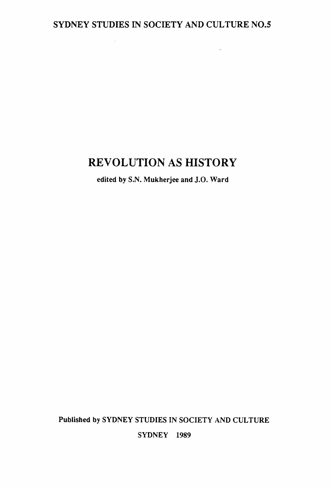# SYDNEY STUDIES IN SOCIETY AND CULTURE N0.5

 $\sim 10^{-10}$ 

# **REVOLUTION AS HISTORY**

edited by S.N. Mukherjee and J.O. Ward

Published by SYDNEY STUDIES IN SOCIETY AND CULTURE

SYDNEY 1989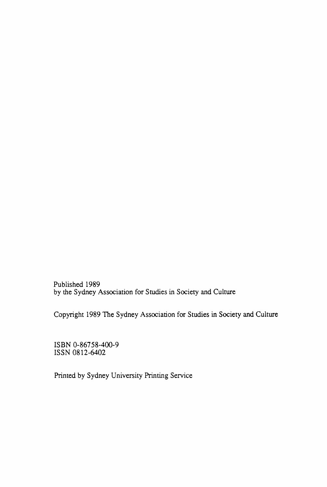Published 1989 by the Sydney Association for Studies in Society and Culture

Copyright 1989 The Sydney Association for Studies in Society and Culture

ISBN 0-86758-400-9 ISSN 0812-6402

Printed by Sydney University Printing Service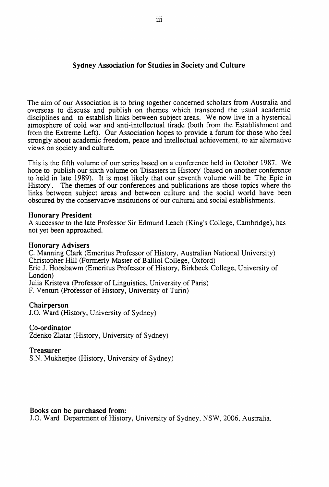## Sydney Association for Studies in Society and Culture

The aim of our Association is to bring together concerned scholars from Australia and overseas to discuss and publish on themes which transcend the usual academic disciplines and to establish links between subject areas. We now live in a hysterical atmosphere of cold war and anti-intellectual tirade (both from the Establishment and from the Extreme Left). Our Association hopes to provide a forum for those who feel strongly about academic freedom, peace and intellectual achievement, to air alternative views on society and culture.

This is the fifth volume of our series based on a conference held in October 1987. We hope to publish our sixth volume on 'Disasters in History' (based on another conference to held in late 1989). It is most likely that our seventh volume will be 'The Epic in History'. The themes of our conferences and publications are those topics where the links between subject areas and between culture and the social world have been obscured by the conservative institutions of our cultural and social establishments.

## Honorary President

A successor to the late Professor Sir Edmund Leach (King's College, Cambridge), has not yet been approached.

## Honorary Advisers

C. Manning Clark (Emeritus Professor of History, Australian National University) Christopher Hill (Formerly Master of Balliol College, Oxford) Eric J. Hobsbawm (Emeritus Professor of History, Birkbeck College, University of London) Julia Kristeva (Professor of Linguistics, University of Paris) F. Venturi (Professor of History, University of Turin)

## Chairperson

J.O. Ward (History, University of Sydney)

## Co-ordinator

Zdenko Zlatar (History, University of Sydney)

## Treasurer

S.N. Mukherjee (History, University of Sydney)

## Books can be purchased from:

J.O. Ward Department of History, University of Sydney, NSW, 2006, Australia.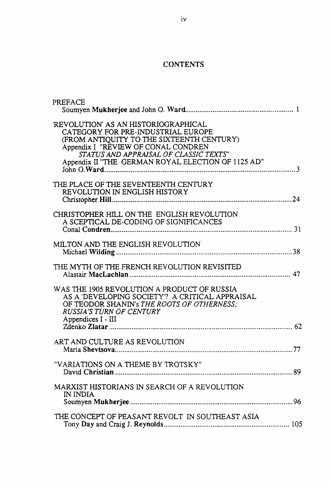## **CONTENTS**

| PREFACE                                                                                                                                                                                                                                                        |  |
|----------------------------------------------------------------------------------------------------------------------------------------------------------------------------------------------------------------------------------------------------------------|--|
| 'REVOLUTION' AS AN HISTORIOGRAPHICAL<br>CATEGORY FOR PRE-INDUSTRIAL EUROPE<br>(FROM ANTIQUITY TO THE SIXTEENTH CENTURY)<br>Appendix I "REVIEW OF CONAL CONDREN<br>STATUS AND APPRAISAL OF CLASSIC TEXTS"<br>Appendix II "THE GERMAN ROYAL ELECTION OF 1125 AD" |  |
| THE PLACE OF THE SEVENTEENTH CENTURY<br>REVOLUTION IN ENGLISH HISTORY                                                                                                                                                                                          |  |
| CHRISTOPHER HILL ON THE ENGLISH REVOLUTION<br>A SCEPTICAL DE-CODING OF SIGNIFICANCES                                                                                                                                                                           |  |
| MILTON AND THE ENGLISH REVOLUTION                                                                                                                                                                                                                              |  |
| THE MYTH OF THE FRENCH REVOLUTION REVISITED                                                                                                                                                                                                                    |  |
| WAS THE 1905 REVOLUTION A PRODUCT OF RUSSIA<br>AS A 'DEVELOPING SOCIETY'? A CRITICAL APPRAISAL<br>OF TEODOR SHANIN's THE ROOTS OF OTHERNESS:<br><b>RUSSIA'S TURN OF CENTURY</b><br>Appendices I - III                                                          |  |
| ART AND CULTURE AS REVOLUTION                                                                                                                                                                                                                                  |  |
| "VARIATIONS ON A THEME BY TROTSKY"                                                                                                                                                                                                                             |  |
| MARXIST HISTORIANS IN SEARCH OF A REVOLUTION<br>IN INDIA                                                                                                                                                                                                       |  |
| THE CONCEPT OF PEASANT REVOLT IN SOUTHEAST ASIA                                                                                                                                                                                                                |  |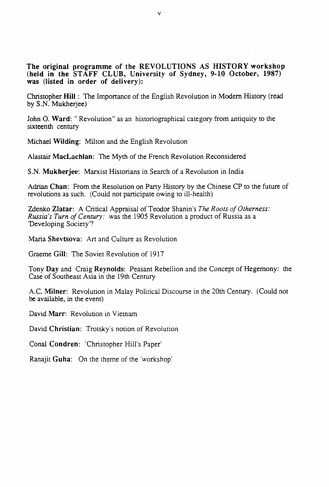The original programme of the REVOLUTIONS AS HISTORY workshop (held in the STAFF CLUB, University of Sydney, 9-10 October, 1987) was (listed in order of delivery):

Christopher Hill : The Importance of the English Revolution in Modern History (read by S.N. Mukherjee)

John O. Ward: "Revolution" as an historiographical category from antiquity to the sixteenth century

Michael Wilding: Milton and the English Revolution

Alastair MacLachlan: The Myth of the French Revolution Reconsidered

S.N. Mukherjee: Marxist Historians in Search of a Revolution in India

Adrian Chan: From the Resolution on Party History by the Chinese CP to the future of revolutions as such. (Could not panicipate owing to ill-health)

Zdenko Zlatar: A Critical Appraisal of Teodor Shanin's *The Roots of Otherness*: *Russia's Turn of Century:* was the 1905 Revolution a product of Russia as a 'Developing Society'?

Maria Shevtsova: Art and Culture as Revolution

Graeme Gill: The Soviet Revolution of 1917

Tony Day and Craig Reynolds: Peasant Rebellion and the Concept of Hegemony: the Case of Southeast Asia in the 19th Century

A.C. Milner: Revolution in Malay Political Discourse in the 20th Century. (Could not be available, in the event)

David Marr: Revolution in Yiemam

David Christian: Trotsky's notion of Revolution

Conal Condren: 'Christopher Hill's Paper'

Ranajit Guha: On the theme of the 'workshop'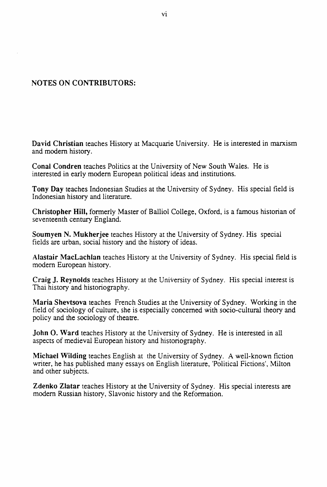## **NOTES ON CONTRIBUTORS:**

**David Christian** teaches History at Macquarie University. He is interested in marxism and modem history.

**Conal Condren** teaches Politics at the University of New South Wales. He is interested in early modem European political ideas and institutions.

**Tony Day** teaches Indonesian Studies at the University of Sydney. His special field is Indonesian history and literature.

**Christopher Hill,** formerly Master of Balliol College, Oxford, is a famous historian of seventeenth century England.

**Soumyen N. Mukherjee** teaches History at the University of Sydney. His special fields are urban, social history and the history of ideas.

**Alastair MacLachlan** teaches History at the University of Sydney. His special field is modem European history.

**Craig J. Reynolds** teaches History at the University of Sydney. His special interest is Thai history and historiography.

**Maria Shevtsova** teaches French Studies at the University of Sydney. Working in the field of sociology of culture, she is especially concerned with socio-cultural theory and policy and the sociology of theatre.

**John 0. Ward** teaches History at the University of Sydney. He is interested in all aspects of medieval European history and historiography.

**Michael Wilding** teaches English at the University of Sydney. A well-known fiction writer, he has published many essays on English literature, 'Political Fictions', Milton and other subjects.

**Zdenko Zlatar** teaches History at the University of Sydney. His special interests are modem Russian history, Slavonic history and the Reformation.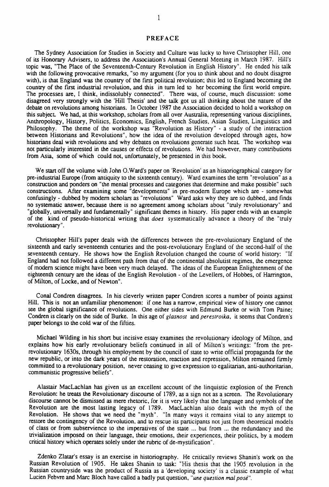#### PREFACE

The Sydney Association for Studies in Society and Culture was lucky to have Christopher Hill, one of its Honorary Advisers, to address the Association's Annual General Meeting in March 1987. Hill's topic was, "The Place of the Seventeenth-Cenrury Revolution in English History". He ended his talk with the following provocative remarks, "so my argument (for you to think about and no doubt disagree with), is that England was the country of the first political revolution; this led to England becoming the country of the first industrial revolution, and this in turn led to her becoming the first world empire. The processes are, I think, indissolubly connected". There was, of course, much discussion: some disagreed very strongly with the 'Hill Thesis' and the talk got us all thinking about the nature of the debate on revolutions among historians. In October 1987 the Association decided to hold a workshop on this subject We had, at this workshop, scholars from all over Australia, representing various disciplines, Anthropology, History, Politics, Economics, English, French Studies, Asian Studies, Linguistics and Philosophy. The theme of the workshop was "Revolution as History" - a study of the interaction between Historians and Revolutions", how the idea of the revolution developed through ages, how historians deal with revolutions and why debates on revolutions generate such heat. The workshop was not particularly interested in the causes or effects of revolutions. We had however, many conlributions from Asia, some of which could not, unfortunately, be presented in this book.

We start off the volume with John O.Ward's paper on 'Revolution' as an historiographical category for pre-induslrial Europe (from antiquity to the sixteenth century). Ward examines the term "revolution" as a construction and ponders on "the mental processes and categories that determine and make possible" such constructions. After examining some "developments" in pre-modern Europe which are - somewhat confusingly - dubbed by modern scholars as "revolutions" Ward asks why they are so dubbed, and finds no systematic answer, because there is no agreement among scholars about "truly revolutionary" and "globally, universally and fundamentally" significant themes in history. His paper ends with an example of the kind of pseudo-historical writing that *does* systematically advance a theory of the "truly revolutionary".

Christopher Hill's paper deals with the differences between the pre-revolutionary England of the sixteenth and early seventeenth centuries and the post-revolutionary England of the second-half of the seventeenth century. He shows how the English Revolution changed the course of world history: "If England had not followed a different path from that of the continental absolutist regimes, the emergence of modern science might have been very much delayed. The ideas of the European Enlightenment of the eighteenth century are the ideas of the English Revolution - of the Levellers, of Hobbes, of Harrington, of Milton, of Locke, and of Newton".

Conal Condren disagrees. In his cleverly written paper Condren scores a number of points against Hill. This is not an unfamiliar phenomenon: if one has a narrow, empirical view of history one cannot see the global significance of revolutions. One either sides with Edmund Burke or with Tom Paine; Condren is clearly on the side of Burke. In this age of *glasnost* and *perestroika,* it seems that Condren's paper belongs to the cold war of the fifties.

Michael Wilding in his short but incisive essay examines the revolutionary ideology of Milton, and explains how his early revolutionary beliefs continued in all of Milton's writings: "from the prerevolutionary 1630s, through his employment by the council of state to write official propaganda for the new republic, or into the dark years of the restoration, reaction and repression, Milton remained firmly committed to a revolutionary position, never ceasing to give expression to egalitarian, anti-authoritarian, communistic progressive beliefs".

Alastair MacLachlan has given us an excellent account of the linquistic explosion of the French Revolution: he treats the Revolutionary discourse of 1789, as a sign not as a screen. The Revolutionary discourse cannot be dismissed as mere rhetoric, for it ts very likely that the language and symbols of the Revolution are the most lasting legacy of 1789. MacLachlan also deals with the myth of the Revolution. He shows that we need the "myth". "In many ways it remains vital to any attempt to restore the contingency of the Revolution, and to rescue its participants not just from theoretical models of class or from subservience to the imperatives of the state ... but from ... the redundancy and the trivialization imposed on their language, their emotions, their experiences, their politics, by a modern critical history which operates solely under the rubric of de-mystification".

Zdenko Zlatar's essay is an exercise in historiography. He critically reviews Shanin's work on the Russian Revolution of 1905. He takes Shanin to task: "His thesis that the 1905 revolution in the Russian countryside was the product of Russia as a 'developing society' is a classic example of what Lucien Febvre and Marc Bloch have called a badly put question, "une question mal posé".